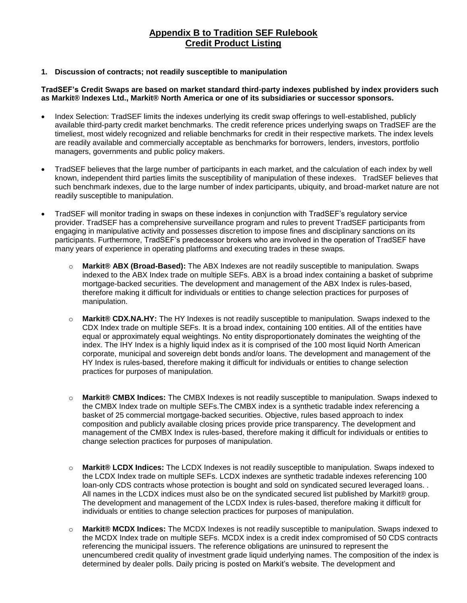# **Appendix B to Tradition SEF Rulebook Credit Product Listing**

### **1. Discussion of contracts; not readily susceptible to manipulation**

### **TradSEF's Credit Swaps are based on market standard third-party indexes published by index providers such as Markit® Indexes Ltd., Markit® North America or one of its subsidiaries or successor sponsors.**

- Index Selection: TradSEF limits the indexes underlying its credit swap offerings to well-established, publicly available third-party credit market benchmarks. The credit reference prices underlying swaps on TradSEF are the timeliest, most widely recognized and reliable benchmarks for credit in their respective markets. The index levels are readily available and commercially acceptable as benchmarks for borrowers, lenders, investors, portfolio managers, governments and public policy makers.
- TradSEF believes that the large number of participants in each market, and the calculation of each index by well known, independent third parties limits the susceptibility of manipulation of these indexes. TradSEF believes that such benchmark indexes, due to the large number of index participants, ubiquity, and broad-market nature are not readily susceptible to manipulation.
- TradSEF will monitor trading in swaps on these indexes in conjunction with TradSEF's regulatory service provider. TradSEF has a comprehensive surveillance program and rules to prevent TradSEF participants from engaging in manipulative activity and possesses discretion to impose fines and disciplinary sanctions on its participants. Furthermore, TradSEF's predecessor brokers who are involved in the operation of TradSEF have many years of experience in operating platforms and executing trades in these swaps.
	- o **Markit® ABX (Broad-Based):** The ABX Indexes are not readily susceptible to manipulation. Swaps indexed to the ABX Index trade on multiple SEFs. ABX is a broad index containing a basket of subprime mortgage-backed securities. The development and management of the ABX Index is rules-based, therefore making it difficult for individuals or entities to change selection practices for purposes of manipulation.
	- o **Markit® CDX.NA.HY:** The HY Indexes is not readily susceptible to manipulation. Swaps indexed to the CDX Index trade on multiple SEFs. It is a broad index, containing 100 entities. All of the entities have equal or approximately equal weightings. No entity disproportionately dominates the weighting of the index. The IHY Index is a highly liquid index as it is comprised of the 100 most liquid North American corporate, municipal and sovereign debt bonds and/or loans. The development and management of the HY Index is rules-based, therefore making it difficult for individuals or entities to change selection practices for purposes of manipulation.
	- o **Markit® CMBX Indices:** The CMBX Indexes is not readily susceptible to manipulation. Swaps indexed to the CMBX Index trade on multiple SEFs.The CMBX index is a synthetic tradable index referencing a basket of 25 commercial mortgage-backed securities. Objective, rules based approach to index composition and publicly available closing prices provide price transparency. The development and management of the CMBX Index is rules-based, therefore making it difficult for individuals or entities to change selection practices for purposes of manipulation.
	- o **Markit® LCDX Indices:** The LCDX Indexes is not readily susceptible to manipulation. Swaps indexed to the LCDX Index trade on multiple SEFs. LCDX indexes are synthetic tradable indexes referencing 100 loan-only CDS contracts whose protection is bought and sold on syndicated secured leveraged loans. . All names in the LCDX indices must also be on the syndicated secured list published by Markit® group. The development and management of the LCDX Index is rules-based, therefore making it difficult for individuals or entities to change selection practices for purposes of manipulation.
	- o **Markit® MCDX Indices:** The MCDX Indexes is not readily susceptible to manipulation. Swaps indexed to the MCDX Index trade on multiple SEFs. MCDX index is a credit index compromised of 50 CDS contracts referencing the municipal issuers. The reference obligations are uninsured to represent the unencumbered credit quality of investment grade liquid underlying names. The composition of the index is determined by dealer polls. Daily pricing is posted on Markit's website. The development and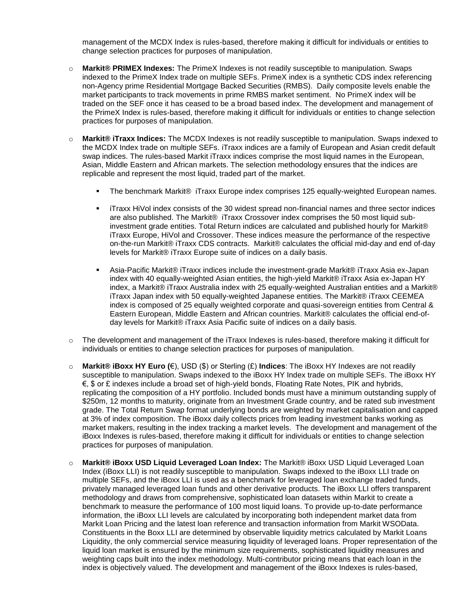management of the MCDX Index is rules-based, therefore making it difficult for individuals or entities to change selection practices for purposes of manipulation.

- o **Markit® PRIMEX Indexes:** The PrimeX Indexes is not readily susceptible to manipulation. Swaps indexed to the PrimeX Index trade on multiple SEFs. PrimeX index is a synthetic CDS index referencing non-Agency prime Residential Mortgage Backed Securities (RMBS). Daily composite levels enable the market participants to track movements in prime RMBS market sentiment. No PrimeX index will be traded on the SEF once it has ceased to be a broad based index. The development and management of the PrimeX Index is rules-based, therefore making it difficult for individuals or entities to change selection practices for purposes of manipulation.
- o **Markit® iTraxx Indices:** The MCDX Indexes is not readily susceptible to manipulation. Swaps indexed to the MCDX Index trade on multiple SEFs. iTraxx indices are a family of European and Asian credit default swap indices. The rules-based Markit iTraxx indices comprise the most liquid names in the European, Asian, Middle Eastern and African markets. The selection methodology ensures that the indices are replicable and represent the most liquid, traded part of the market.
	- The benchmark Markit® iTraxx Europe index comprises 125 equally-weighted European names.
	- iTraxx HiVol index consists of the 30 widest spread non-financial names and three sector indices are also published. The Markit® iTraxx Crossover index comprises the 50 most liquid subinvestment grade entities. Total Return indices are calculated and published hourly for Markit® iTraxx Europe, HiVol and Crossover. These indices measure the performance of the respective on-the-run Markit® iTraxx CDS contracts. Markit® calculates the official mid-day and end of-day levels for Markit® iTraxx Europe suite of indices on a daily basis.
	- Asia-Pacific Markit® iTraxx indices include the investment-grade Markit® iTraxx Asia ex-Japan index with 40 equally-weighted Asian entities, the high-yield Markit® iTraxx Asia ex-Japan HY index, a Markit® iTraxx Australia index with 25 equally-weighted Australian entities and a Markit® iTraxx Japan index with 50 equally-weighted Japanese entities. The Markit® iTraxx CEEMEA index is composed of 25 equally weighted corporate and quasi-sovereign entities from Central & Eastern European, Middle Eastern and African countries. Markit® calculates the official end-ofday levels for Markit® iTraxx Asia Pacific suite of indices on a daily basis.
- $\circ$  The development and management of the iTraxx Indexes is rules-based, therefore making it difficult for individuals or entities to change selection practices for purposes of manipulation.
- o **Markit® iBoxx HY Euro (**€), USD (\$) or Sterling (£) **Indices**: The iBoxx HY Indexes are not readily susceptible to manipulation. Swaps indexed to the iBoxx HY Index trade on multiple SEFs. The iBoxx HY €, \$ or £ indexes include a broad set of high-yield bonds, Floating Rate Notes, PIK and hybrids, replicating the composition of a HY portfolio. Included bonds must have a minimum outstanding supply of \$250m, 12 months to maturity, originate from an Investment Grade country, and be rated sub investment grade. The Total Return Swap format underlying bonds are weighted by market capitalisation and capped at 3% of index composition. The iBoxx daily collects prices from leading investment banks working as market makers, resulting in the index tracking a market levels. The development and management of the iBoxx Indexes is rules-based, therefore making it difficult for individuals or entities to change selection practices for purposes of manipulation.
- o **Markit® iBoxx USD Liquid Leveraged Loan Index:** The Markit® iBoxx USD Liquid Leveraged Loan Index (iBoxx LLI) is not readily susceptible to manipulation. Swaps indexed to the iBoxx LLI trade on multiple SEFs, and the iBoxx LLI is used as a benchmark for leveraged loan exchange traded funds, privately managed leveraged loan funds and other derivative products. The iBoxx LLI offers transparent methodology and draws from comprehensive, sophisticated loan datasets within Markit to create a benchmark to measure the performance of 100 most liquid loans. To provide up-to-date performance information, the iBoxx LLI levels are calculated by incorporating both independent market data from Markit Loan Pricing and the latest loan reference and transaction information from Markit WSOData. Constituents in the Boxx LLI are determined by observable liquidity metrics calculated by Markit Loans Liquidity, the only commercial service measuring liquidity of leveraged loans. Proper representation of the liquid loan market is ensured by the minimum size requirements, sophisticated liquidity measures and weighting caps built into the index methodology. Multi-contributor pricing means that each loan in the index is objectively valued. The development and management of the iBoxx Indexes is rules-based,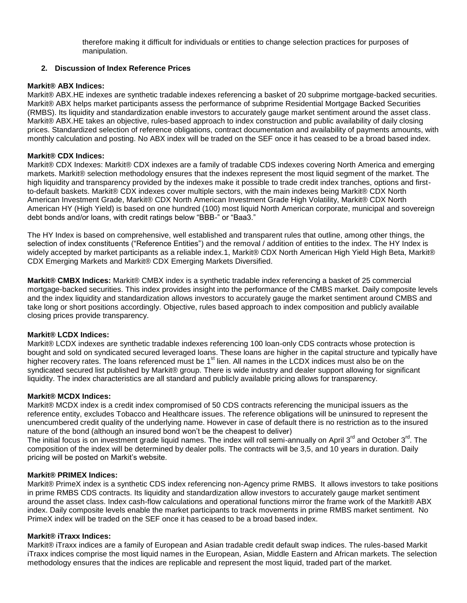therefore making it difficult for individuals or entities to change selection practices for purposes of manipulation.

### **2. Discussion of Index Reference Prices**

### **Markit® ABX Indices:**

Markit® ABX.HE indexes are synthetic tradable indexes referencing a basket of 20 subprime mortgage-backed securities. Markit® ABX helps market participants assess the performance of subprime Residential Mortgage Backed Securities (RMBS). Its liquidity and standardization enable investors to accurately gauge market sentiment around the asset class. Markit® ABX.HE takes an objective, rules-based approach to index construction and public availability of daily closing prices. Standardized selection of reference obligations, contract documentation and availability of payments amounts, with monthly calculation and posting. No ABX index will be traded on the SEF once it has ceased to be a broad based index.

#### **Markit® CDX Indices:**

Markit® CDX Indexes: Markit® CDX indexes are a family of tradable CDS indexes covering North America and emerging markets. Markit® selection methodology ensures that the indexes represent the most liquid segment of the market. The high liquidity and transparency provided by the indexes make it possible to trade credit index tranches, options and firstto-default baskets. Markit® CDX indexes cover multiple sectors, with the main indexes being Markit® CDX North American Investment Grade, Markit® CDX North American Investment Grade High Volatility, Markit® CDX North American HY (High Yield) is based on one hundred (100) most liquid North American corporate, municipal and sovereign debt bonds and/or loans, with credit ratings below "BBB-" or "Baa3."

The HY Index is based on comprehensive, well established and transparent rules that outline, among other things, the selection of index constituents ("Reference Entities") and the removal / addition of entities to the index. The HY Index is widely accepted by market participants as a reliable index.1, Markit® CDX North American High Yield High Beta, Markit® CDX Emerging Markets and Markit® CDX Emerging Markets Diversified.

**Markit® CMBX Indices:** Markit® CMBX index is a synthetic tradable index referencing a basket of 25 commercial mortgage-backed securities. This index provides insight into the performance of the CMBS market. Daily composite levels and the index liquidity and standardization allows investors to accurately gauge the market sentiment around CMBS and take long or short positions accordingly. Objective, rules based approach to index composition and publicly available closing prices provide transparency.

### **Markit® LCDX Indices:**

Markit® LCDX indexes are synthetic tradable indexes referencing 100 loan-only CDS contracts whose protection is bought and sold on syndicated secured leveraged loans. These loans are higher in the capital structure and typically have higher recovery rates. The loans referenced must be 1<sup>st</sup> lien. All names in the LCDX indices must also be on the syndicated secured list published by Markit® group. There is wide industry and dealer support allowing for significant liquidity. The index characteristics are all standard and publicly available pricing allows for transparency.

#### **Markit® MCDX Indices:**

Markit® MCDX index is a credit index compromised of 50 CDS contracts referencing the municipal issuers as the reference entity, excludes Tobacco and Healthcare issues. The reference obligations will be uninsured to represent the unencumbered credit quality of the underlying name. However in case of default there is no restriction as to the insured nature of the bond (although an insured bond won't be the cheapest to deliver)

The initial focus is on investment grade liquid names. The index will roll semi-annually on April 3<sup>rd</sup> and October 3<sup>rd</sup>. The composition of the index will be determined by dealer polls. The contracts will be 3,5, and 10 years in duration. Daily pricing will be posted on Markit's website.

#### **Markit® PRIMEX Indices:**

Markit® PrimeX index is a synthetic CDS index referencing non-Agency prime RMBS. It allows investors to take positions in prime RMBS CDS contracts. Its liquidity and standardization allow investors to accurately gauge market sentiment around the asset class. Index cash-flow calculations and operational functions mirror the frame work of the Markit® ABX index. Daily composite levels enable the market participants to track movements in prime RMBS market sentiment. No PrimeX index will be traded on the SEF once it has ceased to be a broad based index.

#### **Markit® iTraxx Indices:**

Markit® iTraxx indices are a family of European and Asian tradable credit default swap indices. The rules-based Markit iTraxx indices comprise the most liquid names in the European, Asian, Middle Eastern and African markets. The selection methodology ensures that the indices are replicable and represent the most liquid, traded part of the market.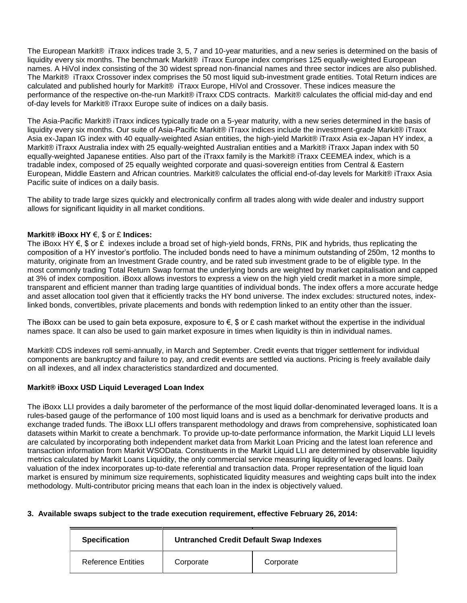The European Markit® iTraxx indices trade 3, 5, 7 and 10-year maturities, and a new series is determined on the basis of liquidity every six months. The benchmark Markit® iTraxx Europe index comprises 125 equally-weighted European names. A HiVol index consisting of the 30 widest spread non-financial names and three sector indices are also published. The Markit® iTraxx Crossover index comprises the 50 most liquid sub-investment grade entities. Total Return indices are calculated and published hourly for Markit® iTraxx Europe, HiVol and Crossover. These indices measure the performance of the respective on-the-run Markit® iTraxx CDS contracts. Markit® calculates the official mid-day and end of-day levels for Markit® iTraxx Europe suite of indices on a daily basis.

The Asia-Pacific Markit® iTraxx indices typically trade on a 5-year maturity, with a new series determined in the basis of liquidity every six months. Our suite of Asia-Pacific Markit® iTraxx indices include the investment-grade Markit® iTraxx Asia ex-Japan IG index with 40 equally-weighted Asian entities, the high-yield Markit® iTraxx Asia ex-Japan HY index, a Markit® iTraxx Australia index with 25 equally-weighted Australian entities and a Markit® iTraxx Japan index with 50 equally-weighted Japanese entities. Also part of the iTraxx family is the Markit® iTraxx CEEMEA index, which is a tradable index, composed of 25 equally weighted corporate and quasi-sovereign entities from Central & Eastern European, Middle Eastern and African countries. Markit® calculates the official end-of-day levels for Markit® iTraxx Asia Pacific suite of indices on a daily basis.

The ability to trade large sizes quickly and electronically confirm all trades along with wide dealer and industry support allows for significant liquidity in all market conditions.

#### **Markit® iBoxx HY** €, \$ or £ **Indices:**

The iBoxx HY €, \$ or £ indexes include a broad set of high-yield bonds, FRNs, PIK and hybrids, thus replicating the composition of a HY investor's portfolio. The included bonds need to have a minimum outstanding of 250m, 12 months to maturity, originate from an Investment Grade country, and be rated sub investment grade to be of eligible type. In the most commonly trading Total Return Swap format the underlying bonds are weighted by market capitalisation and capped at 3% of index composition. iBoxx allows investors to express a view on the high yield credit market in a more simple, transparent and efficient manner than trading large quantities of individual bonds. The index offers a more accurate hedge and asset allocation tool given that it efficiently tracks the HY bond universe. The index excludes: structured notes, indexlinked bonds, convertibles, private placements and bonds with redemption linked to an entity other than the issuer.

The iBoxx can be used to gain beta exposure, exposure to  $\epsilon$ , \$ or £ cash market without the expertise in the individual names space. It can also be used to gain market exposure in times when liquidity is thin in individual names.

Markit® CDS indexes roll semi-annually, in March and September. Credit events that trigger settlement for individual components are bankruptcy and failure to pay, and credit events are settled via auctions. Pricing is freely available daily on all indexes, and all index characteristics standardized and documented.

#### **Markit® iBoxx USD Liquid Leveraged Loan Index**

The iBoxx LLI provides a daily barometer of the performance of the most liquid dollar-denominated leveraged loans. It is a rules-based gauge of the performance of 100 most liquid loans and is used as a benchmark for derivative products and exchange traded funds. The iBoxx LLI offers transparent methodology and draws from comprehensive, sophisticated loan datasets within Markit to create a benchmark. To provide up-to-date performance information, the Markit Liquid LLI levels are calculated by incorporating both independent market data from Markit Loan Pricing and the latest loan reference and transaction information from Markit WSOData. Constituents in the Markit Liquid LLI are determined by observable liquidity metrics calculated by Markit Loans Liquidity, the only commercial service measuring liquidity of leveraged loans. Daily valuation of the index incorporates up-to-date referential and transaction data. Proper representation of the liquid loan market is ensured by minimum size requirements, sophisticated liquidity measures and weighting caps built into the index methodology. Multi-contributor pricing means that each loan in the index is objectively valued.

#### **3. Available swaps subject to the trade execution requirement, effective February 26, 2014:**

| <b>Specification</b>      | <b>Untranched Credit Default Swap Indexes</b> |           |  |
|---------------------------|-----------------------------------------------|-----------|--|
| <b>Reference Entities</b> | Corporate                                     | Corporate |  |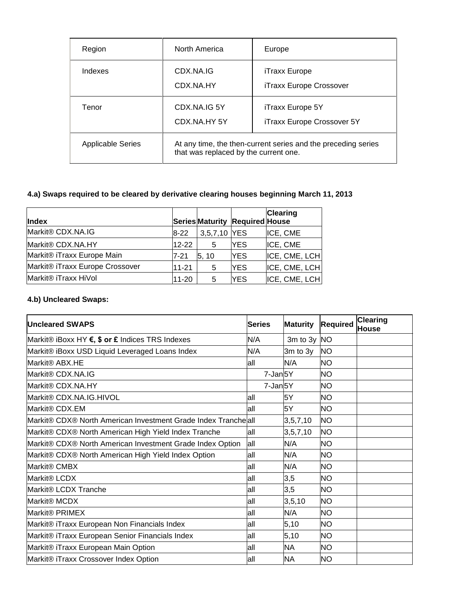| Region                   | North America               | Europe                                                                                                 |  |  |  |
|--------------------------|-----------------------------|--------------------------------------------------------------------------------------------------------|--|--|--|
| Indexes                  | CDX.NA.IG<br>CDX.NA.HY      | iTraxx Europe<br>iTraxx Europe Crossover                                                               |  |  |  |
| Tenor                    | CDX NAJG 5Y<br>CDX.NA.HY 5Y | iTraxx Europe 5Y<br>iTraxx Europe Crossover 5Y                                                         |  |  |  |
| <b>Applicable Series</b> |                             | At any time, the then-current series and the preceding series<br>that was replaced by the current one. |  |  |  |

# **4.a) Swaps required to be cleared by derivative clearing houses beginning March 11, 2013**

| Index                           |           |              | Series Maturity Required House | <b>Clearing</b> |
|---------------------------------|-----------|--------------|--------------------------------|-----------------|
| Markit <sup>®</sup> CDX.NA.IG   | $8-22$    | 3,5,7,10 YES |                                | ICE, CME        |
| Markit® CDX.NA.HY               | $12 - 22$ | 5            | <b>YES</b>                     | ICE, CME        |
| Markit® iTraxx Europe Main      | 7-21      | 5.10         | <b>YES</b>                     | ICE, CME, LCH   |
| Markit® iTraxx Europe Crossover | $11 - 21$ | 5            | <b>YES</b>                     | ICE, CME, LCH   |
| Markit® iTraxx HiVol            | $11 - 20$ | 5            | <b>YES</b>                     | ICE, CME, LCH   |

# **4.b) Uncleared Swaps:**

| <b>Uncleared SWAPS</b>                                         | <b>Series</b> | <b>Maturity</b>   | <b>Required</b> | <b>Clearing</b><br>House |
|----------------------------------------------------------------|---------------|-------------------|-----------------|--------------------------|
| Markit® iBoxx HY €, \$ or £ Indices TRS Indexes                | N/A           | 3 $m$ to 3 $y$ NO |                 |                          |
| Markit® iBoxx USD Liquid Leveraged Loans Index                 | N/A           | 3m to 3y          | <b>NO</b>       |                          |
| Markit <sup>®</sup> ABX.HE                                     | all           | N/A               | <b>NO</b>       |                          |
| Markit® CDX.NA.IG                                              | 7-Jan5Y       |                   | <b>NO</b>       |                          |
| Markit <sup>®</sup> CDX.NA.HY                                  | 7-Jan5Y       |                   | <b>NO</b>       |                          |
| Markit® CDX.NA.IG.HIVOL                                        | all           | 5Y                | <b>NO</b>       |                          |
| Markit <sup>®</sup> CDX.EM                                     | all           | 5Y                | <b>NO</b>       |                          |
| Markit® CDX® North American Investment Grade Index Tranche all |               | 3,5,7,10          | <b>NO</b>       |                          |
| Markit® CDX® North American High Yield Index Tranche           | all           | 3,5,7,10          | <b>NO</b>       |                          |
| Markit® CDX® North American Investment Grade Index Option      | all           | N/A               | <b>NO</b>       |                          |
| Markit® CDX® North American High Yield Index Option            | all           | N/A               | <b>NO</b>       |                          |
| Markit <sup>®</sup> CMBX                                       | all           | N/A               | <b>NO</b>       |                          |
| Markit <sup>®</sup> LCDX                                       | all           | 3,5               | <b>NO</b>       |                          |
| Markit® LCDX Tranche                                           | all           | 3,5               | <b>NO</b>       |                          |
| Markit <sup>®</sup> MCDX                                       | all           | 3,5,10            | <b>NO</b>       |                          |
| Markit <sup>®</sup> PRIMEX                                     | all           | N/A               | <b>NO</b>       |                          |
| Markit® iTraxx European Non Financials Index                   | all           | 5,10              | <b>NO</b>       |                          |
| Markit® iTraxx European Senior Financials Index                | all           | 5,10              | <b>NO</b>       |                          |
| Markit® iTraxx European Main Option                            | all           | <b>NA</b>         | <b>NO</b>       |                          |
| Markit® iTraxx Crossover Index Option                          | all           | <b>NA</b>         | <b>NO</b>       |                          |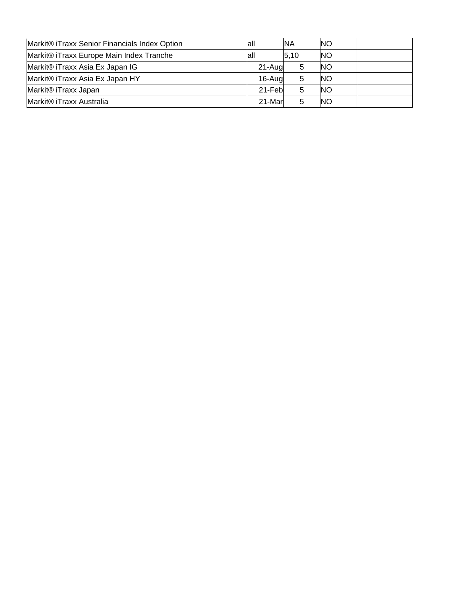| Markit® iTraxx Senior Financials Index Option | lall    | <b>NA</b> | <b>NO</b> |  |
|-----------------------------------------------|---------|-----------|-----------|--|
| Markit® iTraxx Europe Main Index Tranche      | lall    | 5,10      | <b>NO</b> |  |
| Markit® iTraxx Asia Ex Japan IG               | 21-Augl |           | <b>NO</b> |  |
| Markit® iTraxx Asia Ex Japan HY               | 16-Augl | 5         | <b>NO</b> |  |
| Markit® iTraxx Japan                          | 21-Febl |           | <b>NO</b> |  |
| Markit® iTraxx Australia                      | 21-Marl |           | <b>NO</b> |  |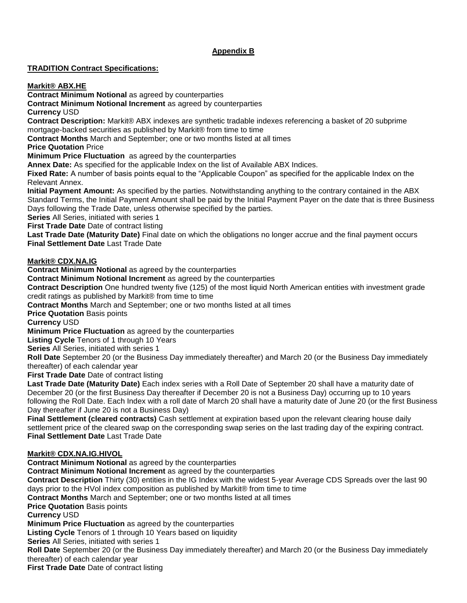# **Appendix B**

# **TRADITION Contract Specifications:**

**Markit® ABX.HE**

**Contract Minimum Notional** as agreed by counterparties

**Contract Minimum Notional Increment** as agreed by counterparties

**Currency** USD

**Contract Description:** Markit® ABX indexes are synthetic tradable indexes referencing a basket of 20 subprime mortgage-backed securities as published by Markit® from time to time

**Contract Months** March and September; one or two months listed at all times

**Price Quotation** Price

**Minimum Price Fluctuation** as agreed by the counterparties

**Annex Date:** As specified for the applicable Index on the list of Available ABX Indices.

**Fixed Rate:** A number of basis points equal to the "Applicable Coupon" as specified for the applicable Index on the Relevant Annex.

**Initial Payment Amount:** As specified by the parties. Notwithstanding anything to the contrary contained in the ABX Standard Terms, the Initial Payment Amount shall be paid by the Initial Payment Payer on the date that is three Business Days following the Trade Date, unless otherwise specified by the parties.

**Series** All Series, initiated with series 1

**First Trade Date Date of contract listing** 

**Last Trade Date (Maturity Date)** Final date on which the obligations no longer accrue and the final payment occurs **Final Settlement Date** Last Trade Date

### **Markit® CDX.NA.IG**

**Contract Minimum Notional** as agreed by the counterparties

**Contract Minimum Notional Increment** as agreed by the counterparties

**Contract Description** One hundred twenty five (125) of the most liquid North American entities with investment grade credit ratings as published by Markit® from time to time

**Contract Months** March and September; one or two months listed at all times

**Price Quotation Basis points** 

**Currency** USD

**Minimum Price Fluctuation** as agreed by the counterparties

**Listing Cycle** Tenors of 1 through 10 Years

**Series** All Series, initiated with series 1

**Roll Date** September 20 (or the Business Day immediately thereafter) and March 20 (or the Business Day immediately thereafter) of each calendar year

**First Trade Date Date of contract listing** 

**Last Trade Date (Maturity Date)** Each index series with a Roll Date of September 20 shall have a maturity date of December 20 (or the first Business Day thereafter if December 20 is not a Business Day) occurring up to 10 years following the Roll Date. Each Index with a roll date of March 20 shall have a maturity date of June 20 (or the first Business Day thereafter if June 20 is not a Business Day)

**Final Settlement (cleared contracts)** Cash settlement at expiration based upon the relevant clearing house daily settlement price of the cleared swap on the corresponding swap series on the last trading day of the expiring contract. **Final Settlement Date** Last Trade Date

### **Markit® CDX.NA.IG.HIVOL**

**Contract Minimum Notional** as agreed by the counterparties **Contract Minimum Notional Increment** as agreed by the counterparties **Contract Description** Thirty (30) entities in the IG Index with the widest 5-year Average CDS Spreads over the last 90 days prior to the HVol index composition as published by Markit® from time to time **Contract Months** March and September; one or two months listed at all times **Price Quotation Basis points Currency** USD **Minimum Price Fluctuation** as agreed by the counterparties **Listing Cycle** Tenors of 1 through 10 Years based on liquidity **Series** All Series, initiated with series 1 **Roll Date** September 20 (or the Business Day immediately thereafter) and March 20 (or the Business Day immediately thereafter) of each calendar year **First Trade Date** Date of contract listing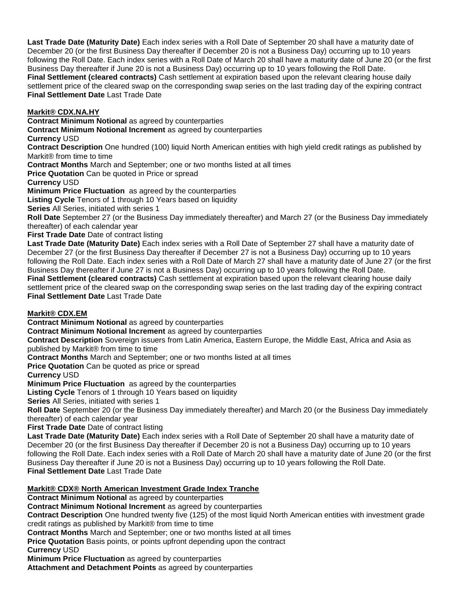**Last Trade Date (Maturity Date)** Each index series with a Roll Date of September 20 shall have a maturity date of December 20 (or the first Business Day thereafter if December 20 is not a Business Day) occurring up to 10 years following the Roll Date. Each index series with a Roll Date of March 20 shall have a maturity date of June 20 (or the first Business Day thereafter if June 20 is not a Business Day) occurring up to 10 years following the Roll Date. **Final Settlement (cleared contracts)** Cash settlement at expiration based upon the relevant clearing house daily settlement price of the cleared swap on the corresponding swap series on the last trading day of the expiring contract **Final Settlement Date** Last Trade Date

# **Markit® CDX.NA.HY**

**Contract Minimum Notional** as agreed by counterparties

**Contract Minimum Notional Increment** as agreed by counterparties

# **Currency** USD

**Contract Description** One hundred (100) liquid North American entities with high yield credit ratings as published by Markit® from time to time

**Contract Months** March and September; one or two months listed at all times

**Price Quotation** Can be quoted in Price or spread

**Currency** USD

**Minimum Price Fluctuation** as agreed by the counterparties

**Listing Cycle** Tenors of 1 through 10 Years based on liquidity

**Series** All Series, initiated with series 1

**Roll Date** September 27 (or the Business Day immediately thereafter) and March 27 (or the Business Day immediately thereafter) of each calendar year

**First Trade Date** Date of contract listing

**Last Trade Date (Maturity Date)** Each index series with a Roll Date of September 27 shall have a maturity date of December 27 (or the first Business Day thereafter if December 27 is not a Business Day) occurring up to 10 years following the Roll Date. Each index series with a Roll Date of March 27 shall have a maturity date of June 27 (or the first Business Day thereafter if June 27 is not a Business Day) occurring up to 10 years following the Roll Date. **Final Settlement (cleared contracts)** Cash settlement at expiration based upon the relevant clearing house daily settlement price of the cleared swap on the corresponding swap series on the last trading day of the expiring contract **Final Settlement Date** Last Trade Date

### **Markit® CDX.EM**

**Contract Minimum Notional** as agreed by counterparties

**Contract Minimum Notional Increment** as agreed by counterparties

**Contract Description** Sovereign issuers from Latin America, Eastern Europe, the Middle East, Africa and Asia as published by Markit® from time to time

**Contract Months** March and September; one or two months listed at all times

**Price Quotation** Can be quoted as price or spread

**Currency** USD

**Minimum Price Fluctuation** as agreed by the counterparties

**Listing Cycle** Tenors of 1 through 10 Years based on liquidity

**Series** All Series, initiated with series 1

**Roll Date** September 20 (or the Business Day immediately thereafter) and March 20 (or the Business Day immediately thereafter) of each calendar year

**First Trade Date** Date of contract listing

**Last Trade Date (Maturity Date)** Each index series with a Roll Date of September 20 shall have a maturity date of December 20 (or the first Business Day thereafter if December 20 is not a Business Day) occurring up to 10 years following the Roll Date. Each index series with a Roll Date of March 20 shall have a maturity date of June 20 (or the first Business Day thereafter if June 20 is not a Business Day) occurring up to 10 years following the Roll Date. **Final Settlement Date** Last Trade Date

### **Markit® CDX® North American Investment Grade Index Tranche**

**Contract Minimum Notional** as agreed by counterparties

**Contract Minimum Notional Increment** as agreed by counterparties

**Contract Description** One hundred twenty five (125) of the most liquid North American entities with investment grade credit ratings as published by Markit® from time to time

**Contract Months** March and September; one or two months listed at all times

**Price Quotation** Basis points, or points upfront depending upon the contract

**Currency** USD

**Minimum Price Fluctuation** as agreed by counterparties

**Attachment and Detachment Points** as agreed by counterparties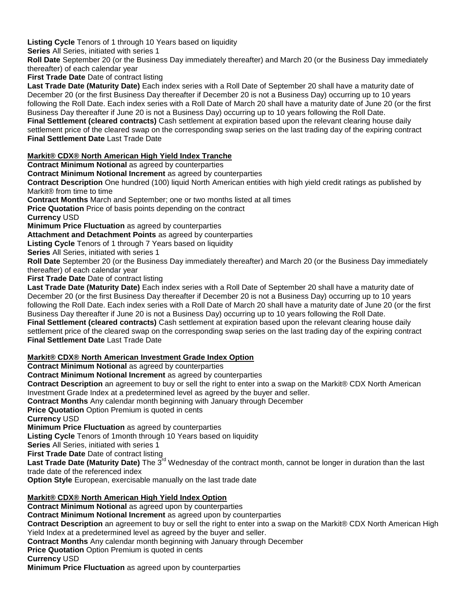**Listing Cycle** Tenors of 1 through 10 Years based on liquidity

**Series** All Series, initiated with series 1

**Roll Date** September 20 (or the Business Day immediately thereafter) and March 20 (or the Business Day immediately thereafter) of each calendar year

**First Trade Date Date of contract listing** 

**Last Trade Date (Maturity Date)** Each index series with a Roll Date of September 20 shall have a maturity date of December 20 (or the first Business Day thereafter if December 20 is not a Business Day) occurring up to 10 years following the Roll Date. Each index series with a Roll Date of March 20 shall have a maturity date of June 20 (or the first Business Day thereafter if June 20 is not a Business Day) occurring up to 10 years following the Roll Date.

**Final Settlement (cleared contracts)** Cash settlement at expiration based upon the relevant clearing house daily settlement price of the cleared swap on the corresponding swap series on the last trading day of the expiring contract **Final Settlement Date** Last Trade Date

# **Markit® CDX® North American High Yield Index Tranche**

**Contract Minimum Notional as agreed by counterparties** 

**Contract Minimum Notional Increment** as agreed by counterparties

**Contract Description** One hundred (100) liquid North American entities with high yield credit ratings as published by Markit® from time to time

**Contract Months** March and September; one or two months listed at all times

**Price Quotation** Price of basis points depending on the contract

**Currency** USD

**Minimum Price Fluctuation** as agreed by counterparties

**Attachment and Detachment Points** as agreed by counterparties

**Listing Cycle** Tenors of 1 through 7 Years based on liquidity

**Series** All Series, initiated with series 1

**Roll Date** September 20 (or the Business Day immediately thereafter) and March 20 (or the Business Day immediately thereafter) of each calendar year

**First Trade Date** Date of contract listing

**Last Trade Date (Maturity Date)** Each index series with a Roll Date of September 20 shall have a maturity date of December 20 (or the first Business Day thereafter if December 20 is not a Business Day) occurring up to 10 years following the Roll Date. Each index series with a Roll Date of March 20 shall have a maturity date of June 20 (or the first Business Day thereafter if June 20 is not a Business Day) occurring up to 10 years following the Roll Date. **Final Settlement (cleared contracts)** Cash settlement at expiration based upon the relevant clearing house daily

settlement price of the cleared swap on the corresponding swap series on the last trading day of the expiring contract **Final Settlement Date** Last Trade Date

# **Markit® CDX® North American Investment Grade Index Option**

**Contract Minimum Notional** as agreed by counterparties

**Contract Minimum Notional Increment** as agreed by counterparties

**Contract Description** an agreement to buy or sell the right to enter into a swap on the Markit® CDX North American Investment Grade Index at a predetermined level as agreed by the buyer and seller.

**Contract Months** Any calendar month beginning with January through December

**Price Quotation** Option Premium is quoted in cents

**Currency** USD

**Minimum Price Fluctuation** as agreed by counterparties

**Listing Cycle** Tenors of 1month through 10 Years based on liquidity

**Series** All Series, initiated with series 1

**First Trade Date** Date of contract listing

**Last Trade Date (Maturity Date)** The 3rd Wednesday of the contract month, cannot be longer in duration than the last trade date of the referenced index

**Option Style** European, exercisable manually on the last trade date

# **Markit® CDX® North American High Yield Index Option**

**Contract Minimum Notional** as agreed upon by counterparties

**Contract Minimum Notional Increment** as agreed upon by counterparties

**Contract Description** an agreement to buy or sell the right to enter into a swap on the Markit® CDX North American High Yield Index at a predetermined level as agreed by the buyer and seller.

**Contract Months** Any calendar month beginning with January through December

**Price Quotation** Option Premium is quoted in cents

**Currency** USD

**Minimum Price Fluctuation** as agreed upon by counterparties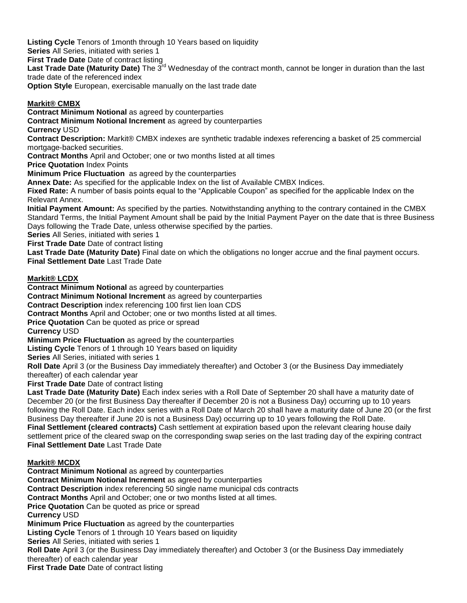**Listing Cycle** Tenors of 1month through 10 Years based on liquidity

**Series** All Series, initiated with series 1

**First Trade Date** Date of contract listing

**Last Trade Date (Maturity Date)** The 3rd Wednesday of the contract month, cannot be longer in duration than the last trade date of the referenced index

**Option Style** European, exercisable manually on the last trade date

# **Markit® CMBX**

**Contract Minimum Notional** as agreed by counterparties **Contract Minimum Notional Increment** as agreed by counterparties **Currency** USD **Contract Description:** Markit® CMBX indexes are synthetic tradable indexes referencing a basket of 25 commercial mortgage-backed securities. **Contract Months** April and October; one or two months listed at all times **Price Quotation** Index Points **Minimum Price Fluctuation** as agreed by the counterparties **Annex Date:** As specified for the applicable Index on the list of Available CMBX Indices. **Fixed Rate:** A number of basis points equal to the "Applicable Coupon" as specified for the applicable Index on the Relevant Annex.

**Initial Payment Amount:** As specified by the parties. Notwithstanding anything to the contrary contained in the CMBX Standard Terms, the Initial Payment Amount shall be paid by the Initial Payment Payer on the date that is three Business Days following the Trade Date, unless otherwise specified by the parties.

**Series** All Series, initiated with series 1

**First Trade Date** Date of contract listing

**Last Trade Date (Maturity Date)** Final date on which the obligations no longer accrue and the final payment occurs. **Final Settlement Date** Last Trade Date

# **Markit® LCDX**

**Contract Minimum Notional** as agreed by counterparties

**Contract Minimum Notional Increment** as agreed by counterparties

**Contract Description** index referencing 100 first lien loan CDS

**Contract Months** April and October; one or two months listed at all times.

**Price Quotation** Can be quoted as price or spread

**Currency** USD

**Minimum Price Fluctuation** as agreed by the counterparties

**Listing Cycle** Tenors of 1 through 10 Years based on liquidity

**Series** All Series, initiated with series 1

**Roll Date** April 3 (or the Business Day immediately thereafter) and October 3 (or the Business Day immediately thereafter) of each calendar year

**First Trade Date Date of contract listing** 

**Last Trade Date (Maturity Date)** Each index series with a Roll Date of September 20 shall have a maturity date of December 20 (or the first Business Day thereafter if December 20 is not a Business Day) occurring up to 10 years following the Roll Date. Each index series with a Roll Date of March 20 shall have a maturity date of June 20 (or the first Business Day thereafter if June 20 is not a Business Day) occurring up to 10 years following the Roll Date. **Final Settlement (cleared contracts)** Cash settlement at expiration based upon the relevant clearing house daily settlement price of the cleared swap on the corresponding swap series on the last trading day of the expiring contract **Final Settlement Date** Last Trade Date

# **Markit® MCDX**

**Contract Minimum Notional** as agreed by counterparties **Contract Minimum Notional Increment** as agreed by counterparties **Contract Description** index referencing 50 single name municipal cds contracts **Contract Months** April and October; one or two months listed at all times. **Price Quotation** Can be quoted as price or spread **Currency** USD **Minimum Price Fluctuation** as agreed by the counterparties **Listing Cycle** Tenors of 1 through 10 Years based on liquidity **Series** All Series, initiated with series 1 **Roll Date** April 3 (or the Business Day immediately thereafter) and October 3 (or the Business Day immediately thereafter) of each calendar year **First Trade Date** Date of contract listing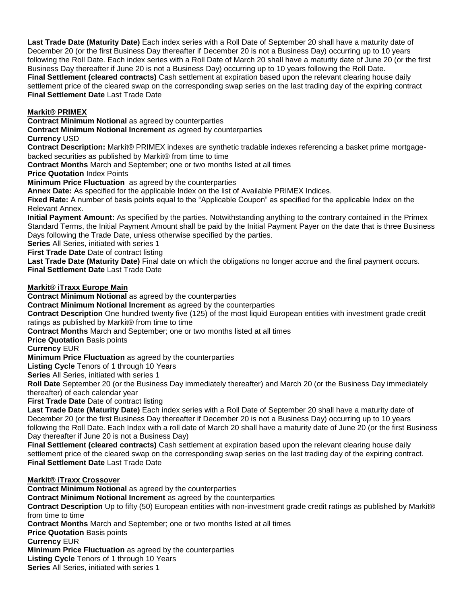**Last Trade Date (Maturity Date)** Each index series with a Roll Date of September 20 shall have a maturity date of December 20 (or the first Business Day thereafter if December 20 is not a Business Day) occurring up to 10 years following the Roll Date. Each index series with a Roll Date of March 20 shall have a maturity date of June 20 (or the first Business Day thereafter if June 20 is not a Business Day) occurring up to 10 years following the Roll Date. **Final Settlement (cleared contracts)** Cash settlement at expiration based upon the relevant clearing house daily settlement price of the cleared swap on the corresponding swap series on the last trading day of the expiring contract **Final Settlement Date** Last Trade Date

### **Markit® PRIMEX**

**Contract Minimum Notional** as agreed by counterparties

**Contract Minimum Notional Increment** as agreed by counterparties

### **Currency** USD

**Contract Description:** Markit® PRIMEX indexes are synthetic tradable indexes referencing a basket prime mortgagebacked securities as published by Markit® from time to time

**Contract Months** March and September; one or two months listed at all times

**Price Quotation** Index Points

**Minimum Price Fluctuation** as agreed by the counterparties

**Annex Date:** As specified for the applicable Index on the list of Available PRIMEX Indices.

**Fixed Rate:** A number of basis points equal to the "Applicable Coupon" as specified for the applicable Index on the Relevant Annex.

**Initial Payment Amount:** As specified by the parties. Notwithstanding anything to the contrary contained in the Primex Standard Terms, the Initial Payment Amount shall be paid by the Initial Payment Payer on the date that is three Business Days following the Trade Date, unless otherwise specified by the parties.

**Series** All Series, initiated with series 1

**First Trade Date** Date of contract listing

**Last Trade Date (Maturity Date)** Final date on which the obligations no longer accrue and the final payment occurs. **Final Settlement Date** Last Trade Date

### **Markit® iTraxx Europe Main**

**Contract Minimum Notional** as agreed by the counterparties

**Contract Minimum Notional Increment** as agreed by the counterparties

**Contract Description** One hundred twenty five (125) of the most liquid European entities with investment grade credit ratings as published by Markit® from time to time

**Contract Months** March and September; one or two months listed at all times

**Price Quotation Basis points** 

**Currency** EUR

**Minimum Price Fluctuation** as agreed by the counterparties

**Listing Cycle** Tenors of 1 through 10 Years

**Series** All Series, initiated with series 1

**Roll Date** September 20 (or the Business Day immediately thereafter) and March 20 (or the Business Day immediately thereafter) of each calendar year

**First Trade Date** Date of contract listing

**Last Trade Date (Maturity Date)** Each index series with a Roll Date of September 20 shall have a maturity date of December 20 (or the first Business Day thereafter if December 20 is not a Business Day) occurring up to 10 years following the Roll Date. Each Index with a roll date of March 20 shall have a maturity date of June 20 (or the first Business Day thereafter if June 20 is not a Business Day)

**Final Settlement (cleared contracts)** Cash settlement at expiration based upon the relevant clearing house daily settlement price of the cleared swap on the corresponding swap series on the last trading day of the expiring contract. **Final Settlement Date** Last Trade Date

### **Markit® iTraxx Crossover**

**Contract Minimum Notional** as agreed by the counterparties **Contract Minimum Notional Increment** as agreed by the counterparties **Contract Description** Up to fifty (50) European entities with non-investment grade credit ratings as published by Markit® from time to time **Contract Months** March and September; one or two months listed at all times **Price Quotation Basis points Currency** EUR **Minimum Price Fluctuation** as agreed by the counterparties **Listing Cycle** Tenors of 1 through 10 Years **Series** All Series, initiated with series 1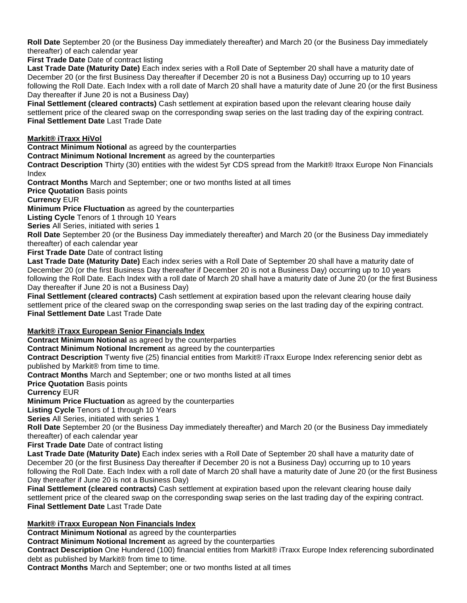**Roll Date** September 20 (or the Business Day immediately thereafter) and March 20 (or the Business Day immediately thereafter) of each calendar year

**First Trade Date** Date of contract listing

**Last Trade Date (Maturity Date)** Each index series with a Roll Date of September 20 shall have a maturity date of December 20 (or the first Business Day thereafter if December 20 is not a Business Day) occurring up to 10 years following the Roll Date. Each Index with a roll date of March 20 shall have a maturity date of June 20 (or the first Business Day thereafter if June 20 is not a Business Day)

**Final Settlement (cleared contracts)** Cash settlement at expiration based upon the relevant clearing house daily settlement price of the cleared swap on the corresponding swap series on the last trading day of the expiring contract. **Final Settlement Date** Last Trade Date

# **Markit® iTraxx HiVol**

**Contract Minimum Notional** as agreed by the counterparties

**Contract Minimum Notional Increment** as agreed by the counterparties

**Contract Description** Thirty (30) entities with the widest 5yr CDS spread from the Markit® Itraxx Europe Non Financials Index

**Contract Months** March and September; one or two months listed at all times

**Price Quotation Basis points** 

**Currency** EUR

**Minimum Price Fluctuation** as agreed by the counterparties

**Listing Cycle** Tenors of 1 through 10 Years

**Series** All Series, initiated with series 1

**Roll Date** September 20 (or the Business Day immediately thereafter) and March 20 (or the Business Day immediately thereafter) of each calendar year

**First Trade Date** Date of contract listing

**Last Trade Date (Maturity Date)** Each index series with a Roll Date of September 20 shall have a maturity date of December 20 (or the first Business Day thereafter if December 20 is not a Business Day) occurring up to 10 years following the Roll Date. Each Index with a roll date of March 20 shall have a maturity date of June 20 (or the first Business Day thereafter if June 20 is not a Business Day)

**Final Settlement (cleared contracts)** Cash settlement at expiration based upon the relevant clearing house daily settlement price of the cleared swap on the corresponding swap series on the last trading day of the expiring contract. **Final Settlement Date** Last Trade Date

# **Markit® iTraxx European Senior Financials Index**

**Contract Minimum Notional** as agreed by the counterparties

**Contract Minimum Notional Increment** as agreed by the counterparties

**Contract Description** Twenty five (25) financial entities from Markit® iTraxx Europe Index referencing senior debt as published by Markit® from time to time.

**Contract Months** March and September; one or two months listed at all times

**Price Quotation** Basis points

**Currency** EUR

**Minimum Price Fluctuation** as agreed by the counterparties

**Listing Cycle** Tenors of 1 through 10 Years

**Series** All Series, initiated with series 1

**Roll Date** September 20 (or the Business Day immediately thereafter) and March 20 (or the Business Day immediately thereafter) of each calendar year

**First Trade Date** Date of contract listing

**Last Trade Date (Maturity Date)** Each index series with a Roll Date of September 20 shall have a maturity date of December 20 (or the first Business Day thereafter if December 20 is not a Business Day) occurring up to 10 years following the Roll Date. Each Index with a roll date of March 20 shall have a maturity date of June 20 (or the first Business Day thereafter if June 20 is not a Business Day)

**Final Settlement (cleared contracts)** Cash settlement at expiration based upon the relevant clearing house daily settlement price of the cleared swap on the corresponding swap series on the last trading day of the expiring contract. **Final Settlement Date** Last Trade Date

### **Markit® iTraxx European Non Financials Index**

**Contract Minimum Notional** as agreed by the counterparties

**Contract Minimum Notional Increment** as agreed by the counterparties

**Contract Description** One Hundered (100) financial entities from Markit® iTraxx Europe Index referencing subordinated debt as published by Markit® from time to time.

**Contract Months** March and September; one or two months listed at all times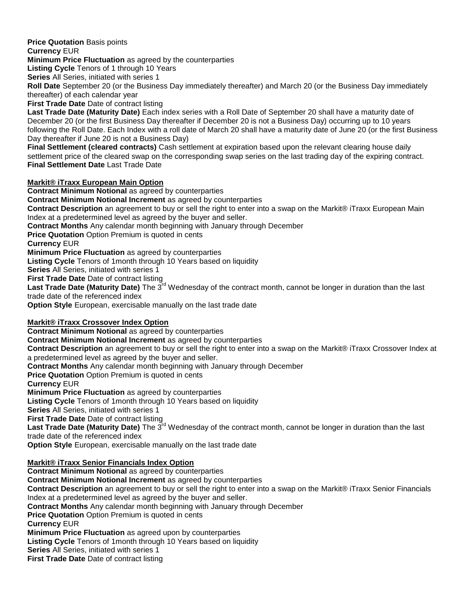**Price Quotation** Basis points

**Currency** EUR

**Minimum Price Fluctuation** as agreed by the counterparties

**Listing Cycle** Tenors of 1 through 10 Years

**Series** All Series, initiated with series 1

**Roll Date** September 20 (or the Business Day immediately thereafter) and March 20 (or the Business Day immediately thereafter) of each calendar year

**First Trade Date** Date of contract listing

**Last Trade Date (Maturity Date)** Each index series with a Roll Date of September 20 shall have a maturity date of December 20 (or the first Business Day thereafter if December 20 is not a Business Day) occurring up to 10 years following the Roll Date. Each Index with a roll date of March 20 shall have a maturity date of June 20 (or the first Business Day thereafter if June 20 is not a Business Day)

**Final Settlement (cleared contracts)** Cash settlement at expiration based upon the relevant clearing house daily settlement price of the cleared swap on the corresponding swap series on the last trading day of the expiring contract. **Final Settlement Date** Last Trade Date

### **Markit® iTraxx European Main Option**

**Contract Minimum Notional** as agreed by counterparties

**Contract Minimum Notional Increment** as agreed by counterparties

**Contract Description** an agreement to buy or sell the right to enter into a swap on the Markit® iTraxx European Main Index at a predetermined level as agreed by the buyer and seller.

**Contract Months** Any calendar month beginning with January through December

**Price Quotation** Option Premium is quoted in cents

**Currency** EUR

**Minimum Price Fluctuation** as agreed by counterparties

**Listing Cycle** Tenors of 1month through 10 Years based on liquidity

**Series** All Series, initiated with series 1

**First Trade Date** Date of contract listing

Last Trade Date (Maturity Date) The 3<sup>rd</sup> Wednesday of the contract month, cannot be longer in duration than the last trade date of the referenced index

**Option Style** European, exercisable manually on the last trade date

### **Markit® iTraxx Crossover Index Option**

**Contract Minimum Notional** as agreed by counterparties

**Contract Minimum Notional Increment** as agreed by counterparties

**Contract Description** an agreement to buy or sell the right to enter into a swap on the Markit® iTraxx Crossover Index at a predetermined level as agreed by the buyer and seller.

**Contract Months** Any calendar month beginning with January through December

**Price Quotation** Option Premium is quoted in cents

**Currency** EUR

**Minimum Price Fluctuation** as agreed by counterparties

**Listing Cycle** Tenors of 1month through 10 Years based on liquidity

**Series** All Series, initiated with series 1

**First Trade Date** Date of contract listing

**Last Trade Date (Maturity Date)** The 3rd Wednesday of the contract month, cannot be longer in duration than the last trade date of the referenced index

**Option Style** European, exercisable manually on the last trade date

# **Markit® iTraxx Senior Financials Index Option**

**Contract Minimum Notional** as agreed by counterparties **Contract Minimum Notional Increment** as agreed by counterparties **Contract Description** an agreement to buy or sell the right to enter into a swap on the Markit® iTraxx Senior Financials Index at a predetermined level as agreed by the buyer and seller. **Contract Months** Any calendar month beginning with January through December **Price Quotation** Option Premium is quoted in cents **Currency** EUR **Minimum Price Fluctuation** as agreed upon by counterparties **Listing Cycle** Tenors of 1month through 10 Years based on liquidity **Series** All Series, initiated with series 1 **First Trade Date** Date of contract listing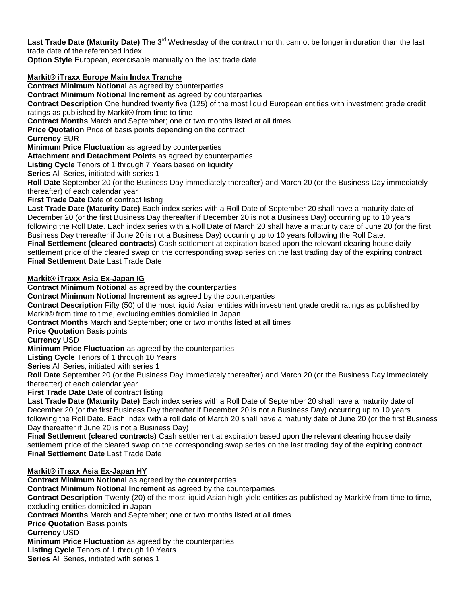Last Trade Date (Maturity Date) The 3<sup>rd</sup> Wednesday of the contract month, cannot be longer in duration than the last trade date of the referenced index

**Option Style** European, exercisable manually on the last trade date

# **Markit® iTraxx Europe Main Index Tranche**

**Contract Minimum Notional** as agreed by counterparties

**Contract Minimum Notional Increment** as agreed by counterparties

**Contract Description** One hundred twenty five (125) of the most liquid European entities with investment grade credit ratings as published by Markit® from time to time

**Contract Months** March and September; one or two months listed at all times

**Price Quotation** Price of basis points depending on the contract

**Currency** EUR

**Minimum Price Fluctuation** as agreed by counterparties

**Attachment and Detachment Points** as agreed by counterparties

**Listing Cycle** Tenors of 1 through 7 Years based on liquidity

**Series** All Series, initiated with series 1

**Roll Date** September 20 (or the Business Day immediately thereafter) and March 20 (or the Business Day immediately thereafter) of each calendar year

**First Trade Date** Date of contract listing

**Last Trade Date (Maturity Date)** Each index series with a Roll Date of September 20 shall have a maturity date of December 20 (or the first Business Day thereafter if December 20 is not a Business Day) occurring up to 10 years following the Roll Date. Each index series with a Roll Date of March 20 shall have a maturity date of June 20 (or the first Business Day thereafter if June 20 is not a Business Day) occurring up to 10 years following the Roll Date. **Final Settlement (cleared contracts)** Cash settlement at expiration based upon the relevant clearing house daily settlement price of the cleared swap on the corresponding swap series on the last trading day of the expiring contract **Final Settlement Date** Last Trade Date

### **Markit® iTraxx Asia Ex-Japan IG**

**Contract Minimum Notional** as agreed by the counterparties

**Contract Minimum Notional Increment** as agreed by the counterparties

**Contract Description** Fifty (50) of the most liquid Asian entities with investment grade credit ratings as published by Markit® from time to time, excluding entities domiciled in Japan

**Contract Months** March and September; one or two months listed at all times

**Price Quotation** Basis points

**Currency** USD

**Minimum Price Fluctuation** as agreed by the counterparties

**Listing Cycle** Tenors of 1 through 10 Years

**Series** All Series, initiated with series 1

**Roll Date** September 20 (or the Business Day immediately thereafter) and March 20 (or the Business Day immediately thereafter) of each calendar year

**First Trade Date** Date of contract listing

**Last Trade Date (Maturity Date)** Each index series with a Roll Date of September 20 shall have a maturity date of December 20 (or the first Business Day thereafter if December 20 is not a Business Day) occurring up to 10 years following the Roll Date. Each Index with a roll date of March 20 shall have a maturity date of June 20 (or the first Business Day thereafter if June 20 is not a Business Day)

**Final Settlement (cleared contracts)** Cash settlement at expiration based upon the relevant clearing house daily settlement price of the cleared swap on the corresponding swap series on the last trading day of the expiring contract. **Final Settlement Date** Last Trade Date

### **Markit® iTraxx Asia Ex-Japan HY**

**Contract Minimum Notional** as agreed by the counterparties **Contract Minimum Notional Increment** as agreed by the counterparties **Contract Description** Twenty (20) of the most liquid Asian high-yield entities as published by Markit® from time to time, excluding entities domiciled in Japan **Contract Months** March and September; one or two months listed at all times **Price Quotation Basis points Currency** USD **Minimum Price Fluctuation** as agreed by the counterparties **Listing Cycle** Tenors of 1 through 10 Years **Series** All Series, initiated with series 1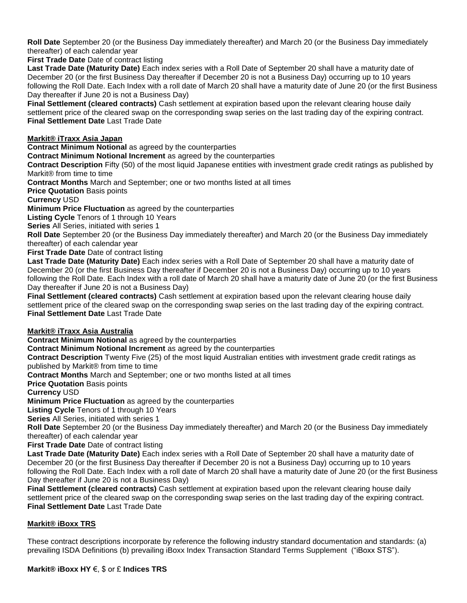**Roll Date** September 20 (or the Business Day immediately thereafter) and March 20 (or the Business Day immediately thereafter) of each calendar year

**First Trade Date** Date of contract listing

**Last Trade Date (Maturity Date)** Each index series with a Roll Date of September 20 shall have a maturity date of December 20 (or the first Business Day thereafter if December 20 is not a Business Day) occurring up to 10 years following the Roll Date. Each Index with a roll date of March 20 shall have a maturity date of June 20 (or the first Business Day thereafter if June 20 is not a Business Day)

**Final Settlement (cleared contracts)** Cash settlement at expiration based upon the relevant clearing house daily settlement price of the cleared swap on the corresponding swap series on the last trading day of the expiring contract. **Final Settlement Date** Last Trade Date

# **Markit® iTraxx Asia Japan**

**Contract Minimum Notional** as agreed by the counterparties

**Contract Minimum Notional Increment** as agreed by the counterparties

**Contract Description** Fifty (50) of the most liquid Japanese entities with investment grade credit ratings as published by Markit® from time to time

**Contract Months** March and September; one or two months listed at all times

**Price Quotation Basis points** 

**Currency** USD

**Minimum Price Fluctuation** as agreed by the counterparties

**Listing Cycle** Tenors of 1 through 10 Years

**Series** All Series, initiated with series 1

**Roll Date** September 20 (or the Business Day immediately thereafter) and March 20 (or the Business Day immediately thereafter) of each calendar year

**First Trade Date** Date of contract listing

**Last Trade Date (Maturity Date)** Each index series with a Roll Date of September 20 shall have a maturity date of December 20 (or the first Business Day thereafter if December 20 is not a Business Day) occurring up to 10 years following the Roll Date. Each Index with a roll date of March 20 shall have a maturity date of June 20 (or the first Business Day thereafter if June 20 is not a Business Day)

**Final Settlement (cleared contracts)** Cash settlement at expiration based upon the relevant clearing house daily settlement price of the cleared swap on the corresponding swap series on the last trading day of the expiring contract. **Final Settlement Date** Last Trade Date

### **Markit® iTraxx Asia Australia**

**Contract Minimum Notional** as agreed by the counterparties

**Contract Minimum Notional Increment** as agreed by the counterparties

**Contract Description** Twenty Five (25) of the most liquid Australian entities with investment grade credit ratings as published by Markit® from time to time

**Contract Months** March and September; one or two months listed at all times

**Price Quotation** Basis points

**Currency** USD

**Minimum Price Fluctuation** as agreed by the counterparties

**Listing Cycle** Tenors of 1 through 10 Years

**Series** All Series, initiated with series 1

**Roll Date** September 20 (or the Business Day immediately thereafter) and March 20 (or the Business Day immediately thereafter) of each calendar year

**First Trade Date Date of contract listing** 

**Last Trade Date (Maturity Date)** Each index series with a Roll Date of September 20 shall have a maturity date of December 20 (or the first Business Day thereafter if December 20 is not a Business Day) occurring up to 10 years following the Roll Date. Each Index with a roll date of March 20 shall have a maturity date of June 20 (or the first Business Day thereafter if June 20 is not a Business Day)

**Final Settlement (cleared contracts)** Cash settlement at expiration based upon the relevant clearing house daily settlement price of the cleared swap on the corresponding swap series on the last trading day of the expiring contract. **Final Settlement Date** Last Trade Date

### **Markit® iBoxx TRS**

These contract descriptions incorporate by reference the following industry standard documentation and standards: (a) prevailing ISDA Definitions (b) prevailing iBoxx Index Transaction Standard Terms Supplement ("iBoxx STS").